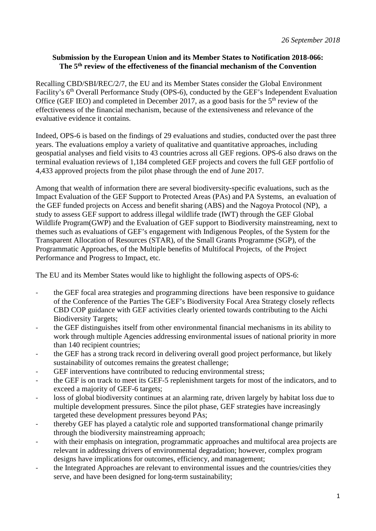## **Submission by the European Union and its Member States to Notification 2018-066: The 5th review of the effectiveness of the financial mechanism of the Convention**

Recalling CBD/SBI/REC/2/7, the EU and its Member States consider the Global Environment Facility's 6<sup>th</sup> Overall Performance Study (OPS-6), conducted by the GEF's Independent Evaluation Office (GEF IEO) and completed in December 2017, as a good basis for the  $5<sup>th</sup>$  review of the effectiveness of the financial mechanism, because of the extensiveness and relevance of the evaluative evidence it contains.

Indeed, OPS-6 is based on the findings of 29 evaluations and studies, conducted over the past three years. The evaluations employ a variety of qualitative and quantitative approaches, including geospatial analyses and field visits to 43 countries across all GEF regions. OPS-6 also draws on the terminal evaluation reviews of 1,184 completed GEF projects and covers the full GEF portfolio of 4,433 approved projects from the pilot phase through the end of June 2017.

Among that wealth of information there are several biodiversity-specific evaluations, such as the Impact Evaluation of the GEF Support to Protected Areas (PAs) and PA Systems, an evaluation of the GEF funded projects on Access and benefit sharing (ABS) and the Nagoya Protocol (NP), a study to assess GEF support to address illegal wildlife trade (IWT) through the GEF Global Wildlife Program(GWP) and the Evaluation of GEF support to Biodiversity mainstreaming, next to themes such as evaluations of GEF's engagement with Indigenous Peoples, of the System for the Transparent Allocation of Resources (STAR), of the Small Grants Programme (SGP), of the Programmatic Approaches, of the Multiple benefits of Multifocal Projects, of the Project Performance and Progress to Impact, etc.

The EU and its Member States would like to highlight the following aspects of OPS-6:

- the GEF focal area strategies and programming directions have been responsive to guidance of the Conference of the Parties The GEF's Biodiversity Focal Area Strategy closely reflects CBD COP guidance with GEF activities clearly oriented towards contributing to the Aichi Biodiversity Targets;
- the GEF distinguishes itself from other environmental financial mechanisms in its ability to work through multiple Agencies addressing environmental issues of national priority in more than 140 recipient countries;
- the GEF has a strong track record in delivering overall good project performance, but likely sustainability of outcomes remains the greatest challenge;
- GEF interventions have contributed to reducing environmental stress;
- the GEF is on track to meet its GEF-5 replenishment targets for most of the indicators, and to exceed a majority of GEF-6 targets;
- loss of global biodiversity continues at an alarming rate, driven largely by habitat loss due to multiple development pressures. Since the pilot phase, GEF strategies have increasingly targeted these development pressures beyond PAs;
- thereby GEF has played a catalytic role and supported transformational change primarily through the biodiversity mainstreaming approach;
- with their emphasis on integration, programmatic approaches and multifocal area projects are relevant in addressing drivers of environmental degradation; however, complex program designs have implications for outcomes, efficiency, and management;
- the Integrated Approaches are relevant to environmental issues and the countries/cities they serve, and have been designed for long-term sustainability;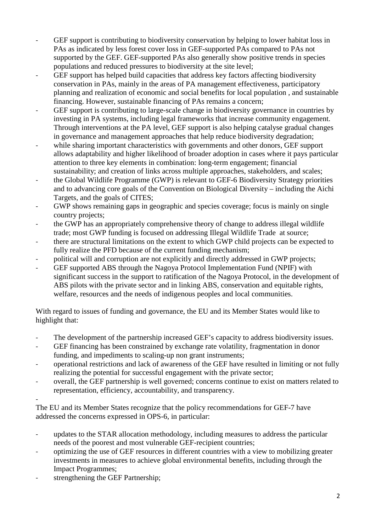- GEF support is contributing to biodiversity conservation by helping to lower habitat loss in PAs as indicated by less forest cover loss in GEF-supported PAs compared to PAs not supported by the GEF. GEF-supported PAs also generally show positive trends in species populations and reduced pressures to biodiversity at the site level;
- GEF support has helped build capacities that address key factors affecting biodiversity conservation in PAs, mainly in the areas of PA management effectiveness, participatory planning and realization of economic and social benefits for local population , and sustainable financing. However, sustainable financing of PAs remains a concern;
- GEF support is contributing to large-scale change in biodiversity governance in countries by investing in PA systems, including legal frameworks that increase community engagement. Through interventions at the PA level, GEF support is also helping catalyse gradual changes in governance and management approaches that help reduce biodiversity degradation;
- while sharing important characteristics with governments and other donors, GEF support allows adaptability and higher likelihood of broader adoption in cases where it pays particular attention to three key elements in combination: long-term engagement; financial sustainability; and creation of links across multiple approaches, stakeholders, and scales;
- the Global Wildlife Programme (GWP) is relevant to GEF-6 Biodiversity Strategy priorities and to advancing core goals of the Convention on Biological Diversity – including the Aichi Targets, and the goals of CITES;
- GWP shows remaining gaps in geographic and species coverage; focus is mainly on single country projects;
- the GWP has an appropriately comprehensive theory of change to address illegal wildlife trade; most GWP funding is focused on addressing Illegal Wildlife Trade at source;
- there are structural limitations on the extent to which GWP child projects can be expected to fully realize the PFD because of the current funding mechanism;
- political will and corruption are not explicitly and directly addressed in GWP projects;
- GEF supported ABS through the Nagoya Protocol Implementation Fund (NPIF) with significant success in the support to ratification of the Nagoya Protocol, in the development of ABS pilots with the private sector and in linking ABS, conservation and equitable rights, welfare, resources and the needs of indigenous peoples and local communities.

With regard to issues of funding and governance, the EU and its Member States would like to highlight that:

- The development of the partnership increased GEF's capacity to address biodiversity issues.
- GEF financing has been constrained by exchange rate volatility, fragmentation in donor funding, and impediments to scaling-up non grant instruments;
- operational restrictions and lack of awareness of the GEF have resulted in limiting or not fully realizing the potential for successful engagement with the private sector;
- overall, the GEF partnership is well governed; concerns continue to exist on matters related to representation, efficiency, accountability, and transparency.

-

The EU and its Member States recognize that the policy recommendations for GEF-7 have addressed the concerns expressed in OPS-6, in particular:

- updates to the STAR allocation methodology, including measures to address the particular needs of the poorest and most vulnerable GEF-recipient countries;
- optimizing the use of GEF resources in different countries with a view to mobilizing greater investments in measures to achieve global environmental benefits, including through the Impact Programmes;
- strengthening the GEF Partnership;